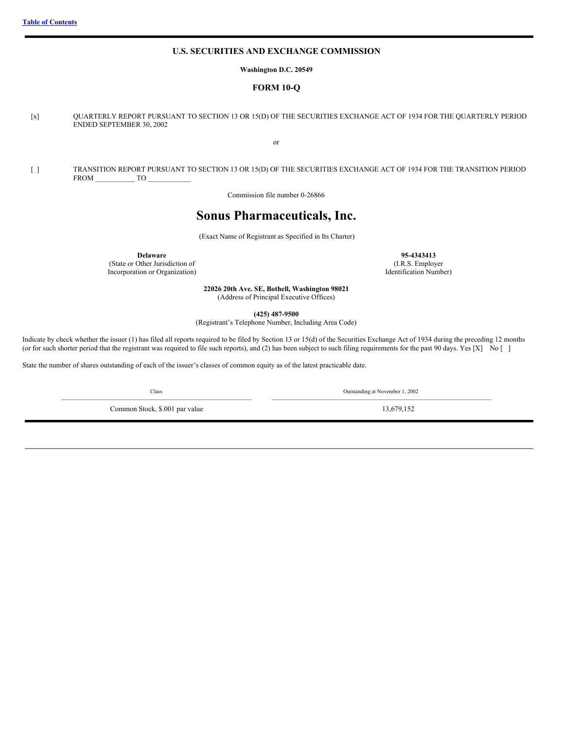# **U.S. SECURITIES AND EXCHANGE COMMISSION**

**Washington D.C. 20549**

# **FORM 10-Q**

<span id="page-0-0"></span>[x] QUARTERLY REPORT PURSUANT TO SECTION 13 OR 15(D) OF THE SECURITIES EXCHANGE ACT OF 1934 FOR THE QUARTERLY PERIOD ENDED SEPTEMBER 30, 2002

or

[ ] TRANSITION REPORT PURSUANT TO SECTION 13 OR 15(D) OF THE SECURITIES EXCHANGE ACT OF 1934 FOR THE TRANSITION PERIOD  $T<sup>O</sup>$ 

Commission file number 0-26866

# **Sonus Pharmaceuticals, Inc.**

(Exact Name of Registrant as Specified in Its Charter)

**Delaware**

(State or Other Jurisdiction of Incorporation or Organization)

**95-4343413** (I.R.S. Employer Identification Number)

**22026 20th Ave. SE, Bothell, Washington 98021** (Address of Principal Executive Offices)

**(425) 487-9500**

(Registrant's Telephone Number, Including Area Code)

Indicate by check whether the issuer (1) has filed all reports required to be filed by Section 13 or 15(d) of the Securities Exchange Act of 1934 during the preceding 12 months (or for such shorter period that the registrant was required to file such reports), and (2) has been subject to such filing requirements for the past 90 days. Yes [X] No [ ]

State the number of shares outstanding of each of the issuer's classes of common equity as of the latest practicable date.

Class Outstanding at November 1, 2002

Common Stock, \$.001 par value 13,679,152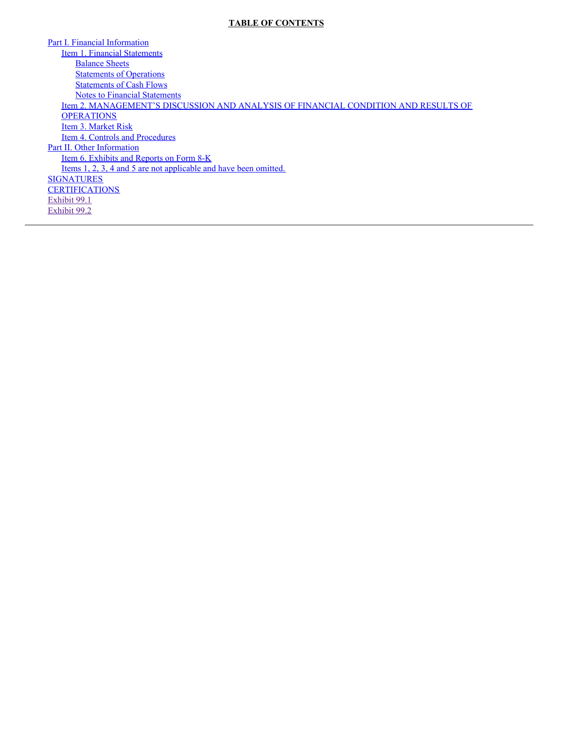# **TABLE OF CONTENTS**

Part I. Financial [Information](#page-3-0) Item 1. Financial [Statements](#page-3-1) [Balance](#page-3-2) Sheets **[Statements](#page-4-0) of Operations** [Statements](#page-5-0) of Cash Flows Notes to Financial [Statements](#page-6-0) Item 2. [MANAGEMENT'S](#page-7-0) DISCUSSION AND ANALYSIS OF FINANCIAL CONDITION AND RESULTS OF **OPERATIONS** Item 3. [Market](#page-17-0) Risk Item 4. Controls and [Procedures](#page-17-1) Part II. Other [Information](#page-17-2) Item 6. [Exhibits](#page-17-3) and Reports on Form 8-K Items 1, 2, 3, 4 and 5 are not [applicable](#page-17-4) and have been omitted. **[SIGNATURES](#page-18-0) [CERTIFICATIONS](#page-19-0)** [Exhibit](#page-21-0) 99.1 [Exhibit](#page-22-0) 99.2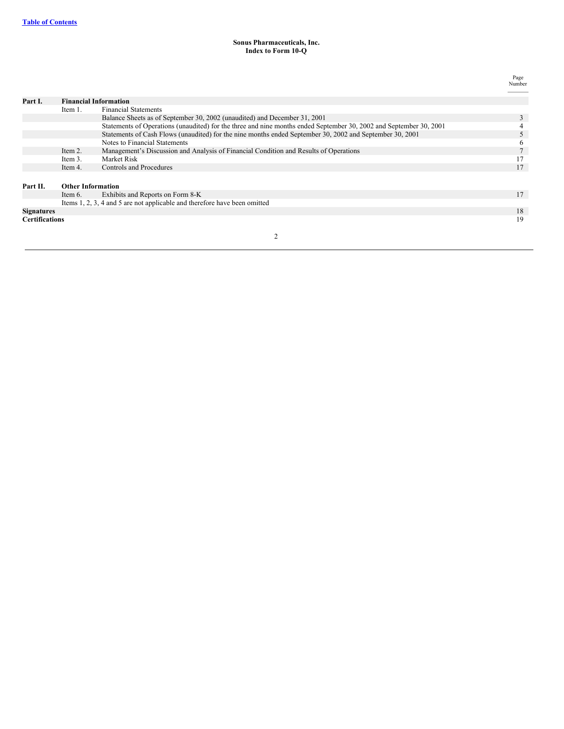# **Sonus Pharmaceuticals, Inc. Index to Form 10-Q**

Page Number

| Part I.                                                                   | <b>Financial Information</b>                                                                                       |                                                                                       |    |  |  |  |
|---------------------------------------------------------------------------|--------------------------------------------------------------------------------------------------------------------|---------------------------------------------------------------------------------------|----|--|--|--|
|                                                                           | <b>Financial Statements</b><br>Item 1.                                                                             |                                                                                       |    |  |  |  |
|                                                                           |                                                                                                                    | Balance Sheets as of September 30, 2002 (unaudited) and December 31, 2001             |    |  |  |  |
|                                                                           | Statements of Operations (unaudited) for the three and nine months ended September 30, 2002 and September 30, 2001 |                                                                                       |    |  |  |  |
|                                                                           | Statements of Cash Flows (unaudited) for the nine months ended September 30, 2002 and September 30, 2001           |                                                                                       |    |  |  |  |
|                                                                           | Notes to Financial Statements                                                                                      |                                                                                       |    |  |  |  |
|                                                                           | Item 2.                                                                                                            | Management's Discussion and Analysis of Financial Condition and Results of Operations |    |  |  |  |
|                                                                           | Item 3.                                                                                                            | Market Risk                                                                           |    |  |  |  |
|                                                                           | Item 4.                                                                                                            | Controls and Procedures                                                               |    |  |  |  |
|                                                                           |                                                                                                                    |                                                                                       |    |  |  |  |
| Part II.                                                                  | <b>Other Information</b>                                                                                           |                                                                                       |    |  |  |  |
|                                                                           | Item 6.                                                                                                            | Exhibits and Reports on Form 8-K                                                      | 17 |  |  |  |
| Items 1, 2, 3, 4 and 5 are not applicable and therefore have been omitted |                                                                                                                    |                                                                                       |    |  |  |  |
| <b>Signatures</b>                                                         |                                                                                                                    |                                                                                       |    |  |  |  |
| <b>Certifications</b>                                                     |                                                                                                                    |                                                                                       |    |  |  |  |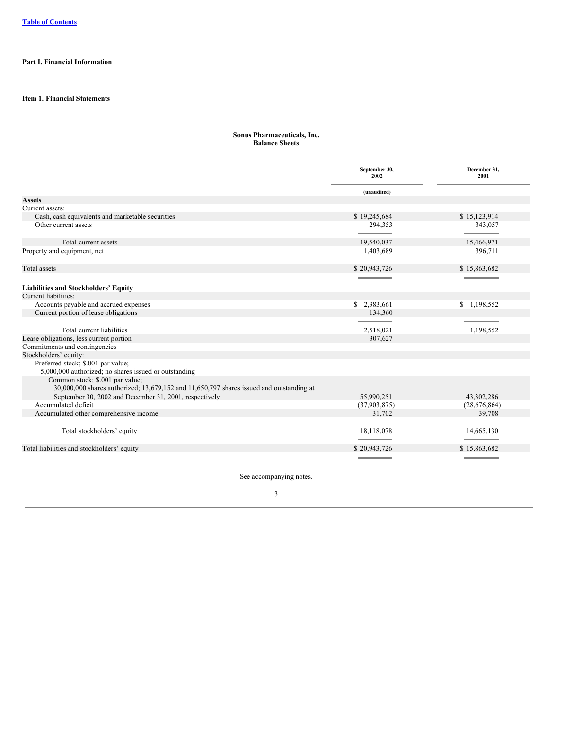# <span id="page-3-1"></span><span id="page-3-0"></span>**Part I. Financial Information**

# <span id="page-3-2"></span>**Item 1. Financial Statements**

# **Sonus Pharmaceuticals, Inc. Balance Sheets**

|                                                                                          | September 30,<br>2002             | December 31,<br>2001              |
|------------------------------------------------------------------------------------------|-----------------------------------|-----------------------------------|
|                                                                                          | (unaudited)                       |                                   |
| <b>Assets</b>                                                                            |                                   |                                   |
| Current assets:                                                                          |                                   |                                   |
| Cash, cash equivalents and marketable securities                                         | \$19,245,684                      | \$15,123,914                      |
| Other current assets                                                                     | 294,353                           | 343,057                           |
| Total current assets                                                                     | 19,540,037                        | 15,466,971                        |
| Property and equipment, net                                                              | 1,403,689                         | 396,711                           |
| Total assets                                                                             | \$20,943,726                      | \$15,863,682                      |
|                                                                                          |                                   |                                   |
| <b>Liabilities and Stockholders' Equity</b>                                              |                                   |                                   |
| Current liabilities:                                                                     |                                   |                                   |
| Accounts payable and accrued expenses                                                    | \$2,383,661                       | \$1,198,552                       |
| Current portion of lease obligations                                                     | 134,360                           |                                   |
|                                                                                          |                                   |                                   |
| Total current liabilities                                                                | 2,518,021                         | 1,198,552                         |
| Lease obligations, less current portion                                                  | 307,627                           |                                   |
| Commitments and contingencies                                                            |                                   |                                   |
| Stockholders' equity:                                                                    |                                   |                                   |
| Preferred stock; \$.001 par value;                                                       |                                   |                                   |
| 5,000,000 authorized; no shares issued or outstanding                                    |                                   |                                   |
| Common stock; \$.001 par value;                                                          |                                   |                                   |
| 30,000,000 shares authorized; 13,679,152 and 11,650,797 shares issued and outstanding at |                                   |                                   |
| September 30, 2002 and December 31, 2001, respectively                                   | 55,990,251                        | 43,302,286                        |
| Accumulated deficit                                                                      | (37,903,875)                      | (28,676,864)                      |
| Accumulated other comprehensive income                                                   | 31,702                            | 39,708                            |
|                                                                                          |                                   |                                   |
| Total stockholders' equity                                                               | 18,118,078                        | 14,665,130                        |
| Total liabilities and stockholders' equity                                               | \$20,943,726                      | \$15,863,682                      |
|                                                                                          | the control of the control of the | the control of the control of the |

See accompanying notes.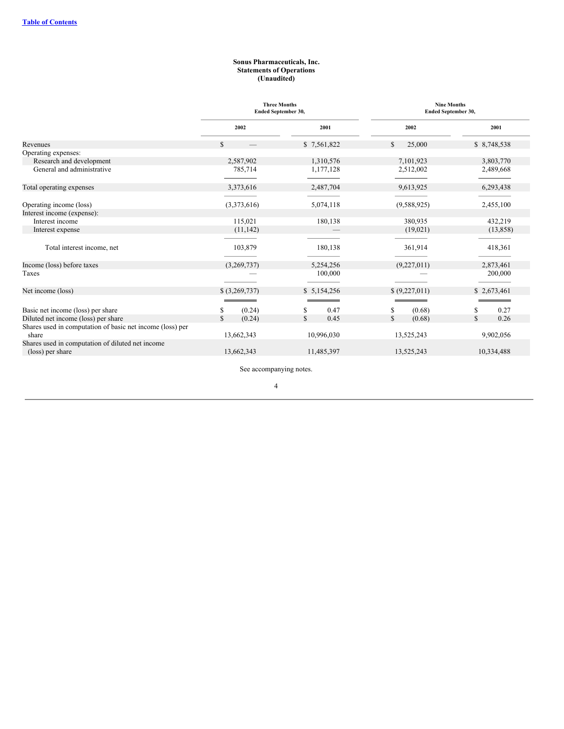#### **Sonus Pharmaceuticals, Inc. Statements of Operations (Unaudited)**

<span id="page-4-0"></span>

|                                                                    | <b>Three Months</b><br>Ended September 30, |             | <b>Nine Months</b><br>Ended September 30, |              |
|--------------------------------------------------------------------|--------------------------------------------|-------------|-------------------------------------------|--------------|
|                                                                    | 2002                                       | 2001        | 2002                                      | 2001         |
| Revenues                                                           | \$                                         | \$7,561,822 | 25,000<br>S.                              | \$ 8,748,538 |
| Operating expenses:                                                |                                            |             |                                           |              |
| Research and development                                           | 2,587,902                                  | 1,310,576   | 7,101,923                                 | 3,803,770    |
| General and administrative                                         | 785,714                                    | 1,177,128   | 2,512,002                                 | 2,489,668    |
| Total operating expenses                                           | 3,373,616                                  | 2,487,704   | 9,613,925                                 | 6,293,438    |
| Operating income (loss)                                            | (3,373,616)                                | 5,074,118   | (9,588,925)                               | 2,455,100    |
| Interest income (expense):                                         |                                            |             |                                           |              |
| Interest income                                                    | 115,021                                    | 180,138     | 380,935                                   | 432,219      |
| Interest expense                                                   | (11, 142)                                  |             | (19,021)                                  | (13, 858)    |
|                                                                    |                                            |             |                                           |              |
| Total interest income, net                                         | 103,879                                    | 180,138     | 361,914                                   | 418,361      |
| Income (loss) before taxes                                         | (3,269,737)                                | 5,254,256   | (9,227,011)                               | 2,873,461    |
| Taxes                                                              |                                            | 100,000     |                                           | 200,000      |
| Net income (loss)                                                  | \$ (3,269,737)                             | \$5,154,256 | \$(9,227,011)                             | \$2,673,461  |
|                                                                    |                                            |             |                                           |              |
| Basic net income (loss) per share                                  | (0.24)<br>S                                | 0.47        | (0.68)<br>S                               | 0.27         |
| Diluted net income (loss) per share                                | \$<br>(0.24)                               | \$<br>0.45  | S.<br>(0.68)                              | 0.26         |
| Shares used in computation of basic net income (loss) per<br>share | 13,662,343                                 | 10,996,030  | 13,525,243                                | 9,902,056    |
| Shares used in computation of diluted net income                   |                                            |             |                                           |              |
| (loss) per share                                                   | 13,662,343                                 | 11,485,397  | 13,525,243                                | 10,334,488   |

See accompanying notes.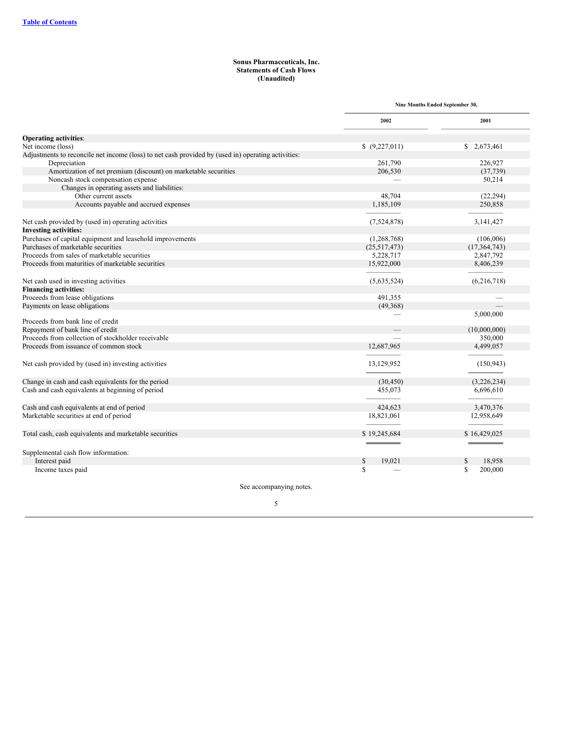# **Sonus Pharmaceuticals, Inc. Statements of Cash Flows (Unaudited)**

<span id="page-5-0"></span>

|                                                                                                    | Nine Months Ended September 30, |                |
|----------------------------------------------------------------------------------------------------|---------------------------------|----------------|
|                                                                                                    | 2002                            | 2001           |
| <b>Operating activities:</b>                                                                       |                                 |                |
| Net income (loss)                                                                                  | \$ (9,227,011)                  | \$2,673,461    |
| Adjustments to reconcile net income (loss) to net cash provided by (used in) operating activities: |                                 |                |
| Depreciation                                                                                       | 261,790                         | 226,927        |
| Amortization of net premium (discount) on marketable securities                                    | 206,530                         | (37,739)       |
| Noncash stock compensation expense                                                                 |                                 | 50,214         |
| Changes in operating assets and liabilities:                                                       |                                 |                |
| Other current assets                                                                               | 48,704                          | (22, 294)      |
| Accounts payable and accrued expenses                                                              | 1,185,109                       | 250,858        |
|                                                                                                    |                                 |                |
| Net cash provided by (used in) operating activities                                                | (7,524,878)                     | 3,141,427      |
| <b>Investing activities:</b>                                                                       |                                 |                |
| Purchases of capital equipment and leasehold improvements                                          | (1,268,768)                     | (106,006)      |
| Purchases of marketable securities                                                                 | (25,517,473)                    | (17, 364, 743) |
| Proceeds from sales of marketable securities                                                       | 5,228,717                       | 2,847,792      |
| Proceeds from maturities of marketable securities                                                  | 15,922,000                      | 8,406,239      |
|                                                                                                    |                                 |                |
|                                                                                                    | (5,635,524)                     | (6,216,718)    |
| Net cash used in investing activities<br><b>Financing activities:</b>                              |                                 |                |
| Proceeds from lease obligations                                                                    | 491,355                         |                |
| Payments on lease obligations                                                                      | (49,368)                        |                |
|                                                                                                    |                                 | 5,000,000      |
| Proceeds from bank line of credit                                                                  |                                 |                |
| Repayment of bank line of credit                                                                   |                                 | (10,000,000)   |
| Proceeds from collection of stockholder receivable                                                 |                                 | 350,000        |
| Proceeds from issuance of common stock                                                             | 12,687,965                      | 4,499,057      |
|                                                                                                    |                                 |                |
|                                                                                                    |                                 |                |
| Net cash provided by (used in) investing activities                                                | 13,129,952                      | (150, 943)     |
|                                                                                                    |                                 |                |
| Change in cash and cash equivalents for the period                                                 | (30, 450)                       | (3,226,234)    |
| Cash and cash equivalents at beginning of period                                                   | 455,073                         | 6,696,610      |
|                                                                                                    |                                 |                |
| Cash and cash equivalents at end of period                                                         | 424,623                         | 3,470,376      |
| Marketable securities at end of period                                                             | 18,821,061                      | 12,958,649     |
|                                                                                                    |                                 |                |
| Total cash, cash equivalents and marketable securities                                             | \$19,245,684                    | \$16,429,025   |
|                                                                                                    |                                 |                |
| Supplemental cash flow information:                                                                |                                 |                |
| Interest paid                                                                                      | 19,021<br>\$                    | 18,958         |
| Income taxes paid                                                                                  | \$                              | \$<br>200,000  |
|                                                                                                    |                                 |                |

See accompanying notes.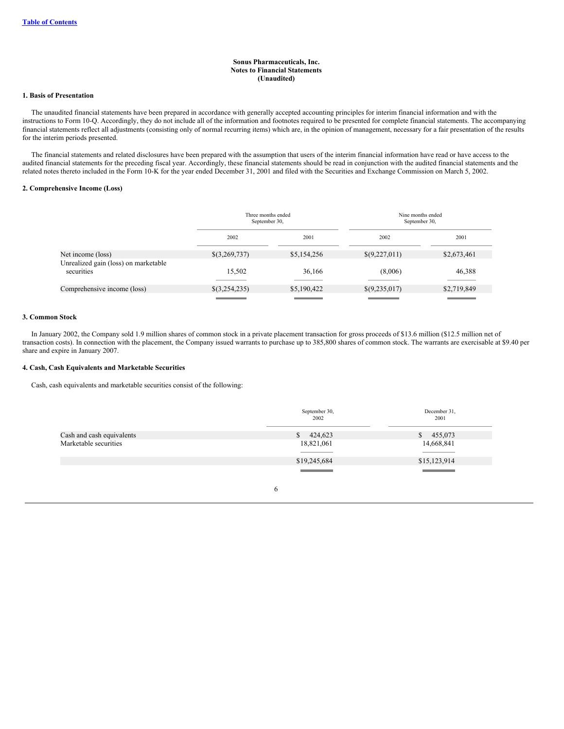# **Sonus Pharmaceuticals, Inc. Notes to Financial Statements (Unaudited)**

# <span id="page-6-0"></span>**1. Basis of Presentation**

The unaudited financial statements have been prepared in accordance with generally accepted accounting principles for interim financial information and with the instructions to Form 10-Q. Accordingly, they do not include all of the information and footnotes required to be presented for complete financial statements. The accompanying financial statements reflect all adjustments (consisting only of normal recurring items) which are, in the opinion of management, necessary for a fair presentation of the results for the interim periods presented.

The financial statements and related disclosures have been prepared with the assumption that users of the interim financial information have read or have access to the audited financial statements for the preceding fiscal year. Accordingly, these financial statements should be read in conjunction with the audited financial statements and the related notes thereto included in the Form 10-K for the year ended December 31, 2001 and filed with the Securities and Exchange Commission on March 5, 2002.

#### **2. Comprehensive Income (Loss)**

|                                                           | Three months ended<br>September 30, |             | Nine months ended<br>September 30, |             |
|-----------------------------------------------------------|-------------------------------------|-------------|------------------------------------|-------------|
|                                                           | 2002                                | 2001        | 2002                               | 2001        |
| Net income (loss)<br>Unrealized gain (loss) on marketable | \$(3,269,737)                       | \$5,154,256 | \$(9,227,011)                      | \$2,673,461 |
| securities                                                | 15.502                              | 36,166      | (8,006)                            | 46,388      |
| Comprehensive income (loss)                               | $\{(3,254,235)\}$                   | \$5,190,422 | $\{(9, 235, 017)\}$                | \$2,719,849 |
|                                                           |                                     |             |                                    |             |

# **3. Common Stock**

In January 2002, the Company sold 1.9 million shares of common stock in a private placement transaction for gross proceeds of \$13.6 million (\$12.5 million net of transaction costs). In connection with the placement, the Company issued warrants to purchase up to 385,800 shares of common stock. The warrants are exercisable at \$9.40 per share and expire in January 2007.

# **4. Cash, Cash Equivalents and Marketable Securities**

Cash, cash equivalents and marketable securities consist of the following:

|                           | September 30,<br>2002                                                                                          | December 31,<br>2001                                                                                                            |
|---------------------------|----------------------------------------------------------------------------------------------------------------|---------------------------------------------------------------------------------------------------------------------------------|
|                           |                                                                                                                |                                                                                                                                 |
| Cash and cash equivalents | 424,623<br>S.                                                                                                  | 455,073<br>S.                                                                                                                   |
| Marketable securities     | 18,821,061                                                                                                     | 14,668,841                                                                                                                      |
|                           |                                                                                                                |                                                                                                                                 |
|                           | \$19,245,684                                                                                                   | \$15,123,914                                                                                                                    |
|                           | and the state of the state of the state of the state of the state of the state of the state of the state of th | $\mathcal{L}^{\text{max}}_{\text{max}}$ and $\mathcal{L}^{\text{max}}_{\text{max}}$ and $\mathcal{L}^{\text{max}}_{\text{max}}$ |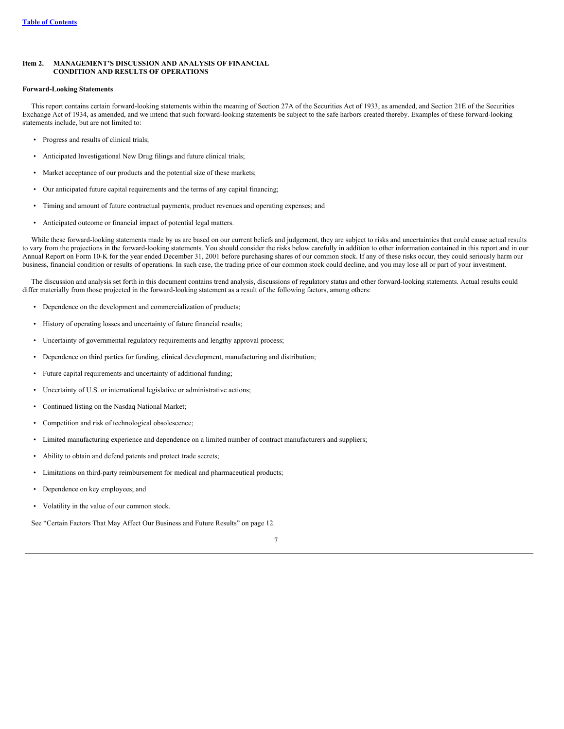# <span id="page-7-0"></span>**Item 2. MANAGEMENT'S DISCUSSION AND ANALYSIS OF FINANCIAL CONDITION AND RESULTS OF OPERATIONS**

#### **Forward-Looking Statements**

This report contains certain forward-looking statements within the meaning of Section 27A of the Securities Act of 1933, as amended, and Section 21E of the Securities Exchange Act of 1934, as amended, and we intend that such forward-looking statements be subject to the safe harbors created thereby. Examples of these forward-looking statements include, but are not limited to:

- Progress and results of clinical trials;
- Anticipated Investigational New Drug filings and future clinical trials;
- Market acceptance of our products and the potential size of these markets;
- Our anticipated future capital requirements and the terms of any capital financing;
- Timing and amount of future contractual payments, product revenues and operating expenses; and
- Anticipated outcome or financial impact of potential legal matters.

While these forward-looking statements made by us are based on our current beliefs and judgement, they are subject to risks and uncertainties that could cause actual results to vary from the projections in the forward-looking statements. You should consider the risks below carefully in addition to other information contained in this report and in our Annual Report on Form 10-K for the year ended December 31, 2001 before purchasing shares of our common stock. If any of these risks occur, they could seriously harm our business, financial condition or results of operations. In such case, the trading price of our common stock could decline, and you may lose all or part of your investment.

The discussion and analysis set forth in this document contains trend analysis, discussions of regulatory status and other forward-looking statements. Actual results could differ materially from those projected in the forward-looking statement as a result of the following factors, among others:

- Dependence on the development and commercialization of products;
- History of operating losses and uncertainty of future financial results;
- Uncertainty of governmental regulatory requirements and lengthy approval process;
- Dependence on third parties for funding, clinical development, manufacturing and distribution;
- Future capital requirements and uncertainty of additional funding;
- Uncertainty of U.S. or international legislative or administrative actions;
- Continued listing on the Nasdaq National Market;
- Competition and risk of technological obsolescence;
- Limited manufacturing experience and dependence on a limited number of contract manufacturers and suppliers;
- Ability to obtain and defend patents and protect trade secrets;
- Limitations on third-party reimbursement for medical and pharmaceutical products;
- Dependence on key employees; and
- Volatility in the value of our common stock.

See "Certain Factors That May Affect Our Business and Future Results" on page 12.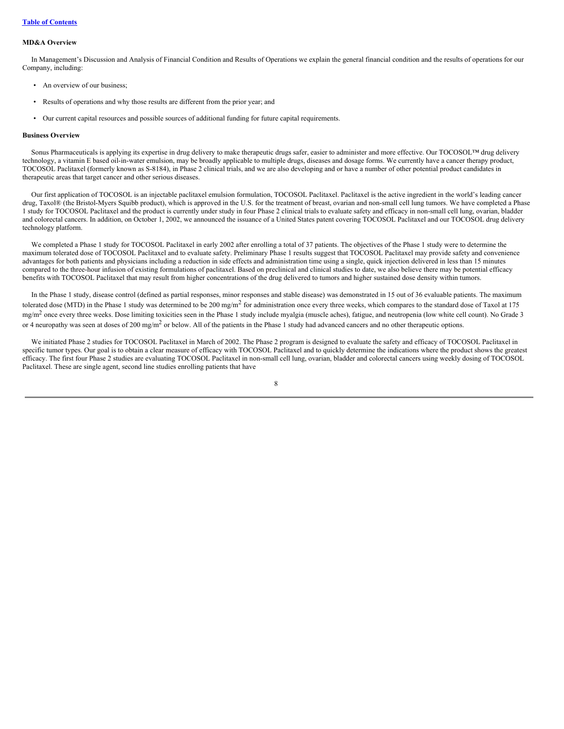#### **MD&A Overview**

In Management's Discussion and Analysis of Financial Condition and Results of Operations we explain the general financial condition and the results of operations for our Company, including:

- An overview of our business;
- Results of operations and why those results are different from the prior year; and
- Our current capital resources and possible sources of additional funding for future capital requirements.

# **Business Overview**

Sonus Pharmaceuticals is applying its expertise in drug delivery to make therapeutic drugs safer, easier to administer and more effective. Our TOCOSOL™ drug delivery technology, a vitamin E based oil-in-water emulsion, may be broadly applicable to multiple drugs, diseases and dosage forms. We currently have a cancer therapy product, TOCOSOL Paclitaxel (formerly known as S-8184), in Phase 2 clinical trials, and we are also developing and or have a number of other potential product candidates in therapeutic areas that target cancer and other serious diseases.

Our first application of TOCOSOL is an injectable paclitaxel emulsion formulation, TOCOSOL Paclitaxel. Paclitaxel is the active ingredient in the world's leading cancer drug, Taxol® (the Bristol-Myers Squibb product), which is approved in the U.S. for the treatment of breast, ovarian and non-small cell lung tumors. We have completed a Phase 1 study for TOCOSOL Paclitaxel and the product is currently under study in four Phase 2 clinical trials to evaluate safety and efficacy in non-small cell lung, ovarian, bladder and colorectal cancers. In addition, on October 1, 2002, we announced the issuance of a United States patent covering TOCOSOL Paclitaxel and our TOCOSOL drug delivery technology platform.

We completed a Phase 1 study for TOCOSOL Paclitaxel in early 2002 after enrolling a total of 37 patients. The objectives of the Phase 1 study were to determine the maximum tolerated dose of TOCOSOL Paclitaxel and to evaluate safety. Preliminary Phase 1 results suggest that TOCOSOL Paclitaxel may provide safety and convenience advantages for both patients and physicians including a reduction in side effects and administration time using a single, quick injection delivered in less than 15 minutes compared to the three-hour infusion of existing formulations of paclitaxel. Based on preclinical and clinical studies to date, we also believe there may be potential efficacy benefits with TOCOSOL Paclitaxel that may result from higher concentrations of the drug delivered to tumors and higher sustained dose density within tumors.

In the Phase 1 study, disease control (defined as partial responses, minor responses and stable disease) was demonstrated in 15 out of 36 evaluable patients. The maximum tolerated dose (MTD) in the Phase 1 study was determined to be 200 mg/m<sup>2</sup> for administration once every three weeks, which compares to the standard dose of Taxol at 175 mg/m<sup>2</sup> once every three weeks. Dose limiting toxicities seen in the Phase 1 study include myalgia (muscle aches), fatigue, and neutropenia (low white cell count). No Grade 3 or 4 neuropathy was seen at doses of 200 mg/m<sup>2</sup> or below. All of the patients in the Phase 1 study had advanced cancers and no other therapeutic options.

We initiated Phase 2 studies for TOCOSOL Paclitaxel in March of 2002. The Phase 2 program is designed to evaluate the safety and efficacy of TOCOSOL Paclitaxel in specific tumor types. Our goal is to obtain a clear measure of efficacy with TOCOSOL Paclitaxel and to quickly determine the indications where the product shows the greatest efficacy. The first four Phase 2 studies are evaluating TOCOSOL Paclitaxel in non-small cell lung, ovarian, bladder and colorectal cancers using weekly dosing of TOCOSOL Paclitaxel. These are single agent, second line studies enrolling patients that have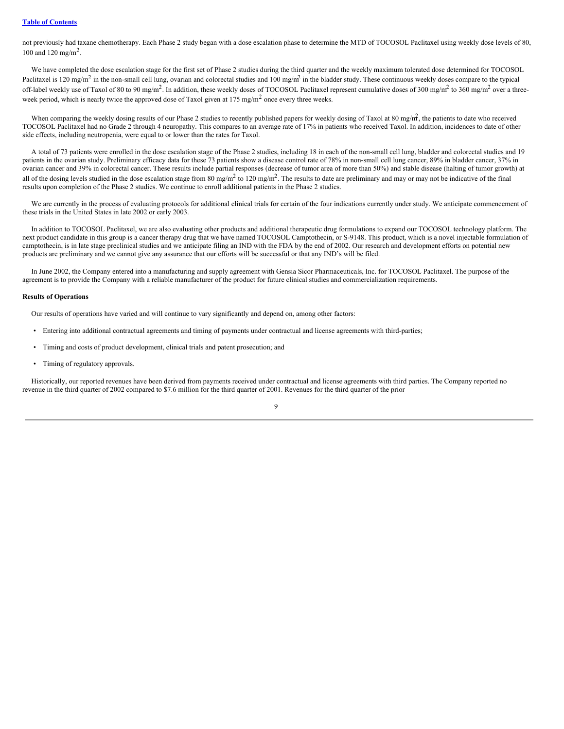not previously had taxane chemotherapy. Each Phase 2 study began with a dose escalation phase to determine the MTD of TOCOSOL Paclitaxel using weekly dose levels of 80, 100 and 120 mg/m<sup>2</sup>.

We have completed the dose escalation stage for the first set of Phase 2 studies during the third quarter and the weekly maximum tolerated dose determined for TOCOSOL Paclitaxel is 120 mg/m<sup>2</sup> in the non-small cell lung, ovarian and colorectal studies and 100 mg/m<sup>2</sup> in the bladder study. These continuous weekly doses compare to the typical off-label weekly use of Taxol of 80 to 90 mg/m<sup>2</sup>. In addition, these weekly doses of TOCOSOL Paclitaxel represent cumulative doses of 300 mg/m<sup>2</sup> to 360 mg/m<sup>2</sup> over a threeweek period, which is nearly twice the approved dose of Taxol given at  $175 \text{ mg/m}^2$  once every three weeks.

When comparing the weekly dosing results of our Phase 2 studies to recently published papers for weekly dosing of Taxol at 80 mg/m<sup>2</sup>, the patients to date who received TOCOSOL Paclitaxel had no Grade 2 through 4 neuropathy. This compares to an average rate of 17% in patients who received Taxol. In addition, incidences to date of other side effects, including neutropenia, were equal to or lower than the rates for Taxol.

A total of 73 patients were enrolled in the dose escalation stage of the Phase 2 studies, including 18 in each of the non-small cell lung, bladder and colorectal studies and 19 patients in the ovarian study. Preliminary efficacy data for these 73 patients show a disease control rate of 78% in non-small cell lung cancer, 89% in bladder cancer, 37% in ovarian cancer and 39% in colorectal cancer. These results include partial responses (decrease of tumor area of more than 50%) and stable disease (halting of tumor growth) at all of the dosing levels studied in the dose escalation stage from 80 mg/m<sup>2</sup> to 120 mg/m<sup>2</sup>. The results to date are preliminary and may or may not be indicative of the final results upon completion of the Phase 2 studies. We continue to enroll additional patients in the Phase 2 studies.

We are currently in the process of evaluating protocols for additional clinical trials for certain of the four indications currently under study. We anticipate commencement of these trials in the United States in late 2002 or early 2003.

In addition to TOCOSOL Paclitaxel, we are also evaluating other products and additional therapeutic drug formulations to expand our TOCOSOL technology platform. The next product candidate in this group is a cancer therapy drug that we have named TOCOSOL Camptothecin, or S-9148. This product, which is a novel injectable formulation of camptothecin, is in late stage preclinical studies and we anticipate filing an IND with the FDA by the end of 2002. Our research and development efforts on potential new products are preliminary and we cannot give any assurance that our efforts will be successful or that any IND's will be filed.

In June 2002, the Company entered into a manufacturing and supply agreement with Gensia Sicor Pharmaceuticals, Inc. for TOCOSOL Paclitaxel. The purpose of the agreement is to provide the Company with a reliable manufacturer of the product for future clinical studies and commercialization requirements.

# **Results of Operations**

Our results of operations have varied and will continue to vary significantly and depend on, among other factors:

- Entering into additional contractual agreements and timing of payments under contractual and license agreements with third-parties;
- Timing and costs of product development, clinical trials and patent prosecution; and
- Timing of regulatory approvals.

Historically, our reported revenues have been derived from payments received under contractual and license agreements with third parties. The Company reported no revenue in the third quarter of 2002 compared to \$7.6 million for the third quarter of 2001. Revenues for the third quarter of the prior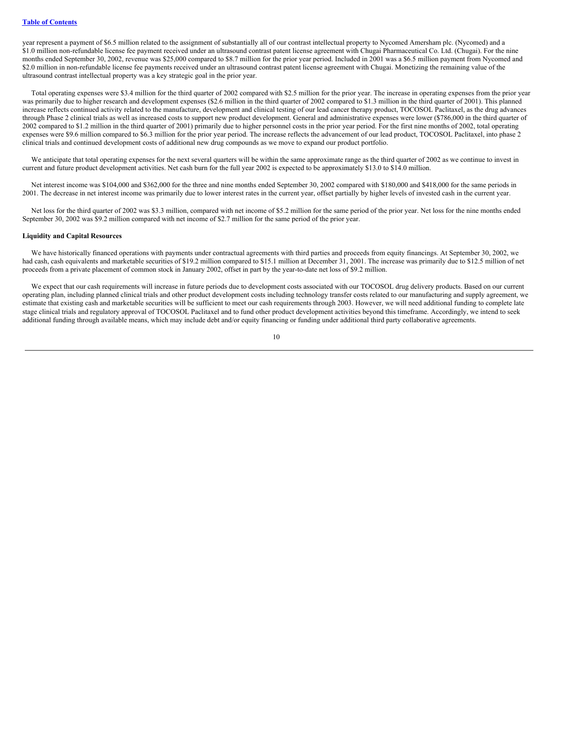year represent a payment of \$6.5 million related to the assignment of substantially all of our contrast intellectual property to Nycomed Amersham plc. (Nycomed) and a \$1.0 million non-refundable license fee payment received under an ultrasound contrast patent license agreement with Chugai Pharmaceutical Co. Ltd. (Chugai). For the nine months ended September 30, 2002, revenue was \$25,000 compared to \$8.7 million for the prior year period. Included in 2001 was a \$6.5 million payment from Nycomed and \$2.0 million in non-refundable license fee payments received under an ultrasound contrast patent license agreement with Chugai. Monetizing the remaining value of the ultrasound contrast intellectual property was a key strategic goal in the prior year.

Total operating expenses were \$3.4 million for the third quarter of 2002 compared with \$2.5 million for the prior year. The increase in operating expenses from the prior year was primarily due to higher research and development expenses (\$2.6 million in the third quarter of 2002 compared to \$1.3 million in the third quarter of 2001). This planned increase reflects continued activity related to the manufacture, development and clinical testing of our lead cancer therapy product, TOCOSOL Paclitaxel, as the drug advances through Phase 2 clinical trials as well as increased costs to support new product development. General and administrative expenses were lower (\$786,000 in the third quarter of 2002 compared to \$1.2 million in the third quarter of 2001) primarily due to higher personnel costs in the prior year period. For the first nine months of 2002, total operating expenses were \$9.6 million compared to \$6.3 million for the prior year period. The increase reflects the advancement of our lead product, TOCOSOL Paclitaxel, into phase 2 clinical trials and continued development costs of additional new drug compounds as we move to expand our product portfolio.

We anticipate that total operating expenses for the next several quarters will be within the same approximate range as the third quarter of 2002 as we continue to invest in current and future product development activities. Net cash burn for the full year 2002 is expected to be approximately \$13.0 to \$14.0 million.

Net interest income was \$104,000 and \$362,000 for the three and nine months ended September 30, 2002 compared with \$180,000 and \$418,000 for the same periods in 2001. The decrease in net interest income was primarily due to lower interest rates in the current year, offset partially by higher levels of invested cash in the current year.

Net loss for the third quarter of 2002 was \$3.3 million, compared with net income of \$5.2 million for the same period of the prior year. Net loss for the nine months ended September 30, 2002 was \$9.2 million compared with net income of \$2.7 million for the same period of the prior year.

#### **Liquidity and Capital Resources**

We have historically financed operations with payments under contractual agreements with third parties and proceeds from equity financings. At September 30, 2002, we had cash, cash equivalents and marketable securities of \$19.2 million compared to \$15.1 million at December 31, 2001. The increase was primarily due to \$12.5 million of net proceeds from a private placement of common stock in January 2002, offset in part by the year-to-date net loss of \$9.2 million.

We expect that our cash requirements will increase in future periods due to development costs associated with our TOCOSOL drug delivery products. Based on our current operating plan, including planned clinical trials and other product development costs including technology transfer costs related to our manufacturing and supply agreement, we estimate that existing cash and marketable securities will be sufficient to meet our cash requirements through 2003. However, we will need additional funding to complete late stage clinical trials and regulatory approval of TOCOSOL Paclitaxel and to fund other product development activities beyond this timeframe. Accordingly, we intend to seek additional funding through available means, which may include debt and/or equity financing or funding under additional third party collaborative agreements.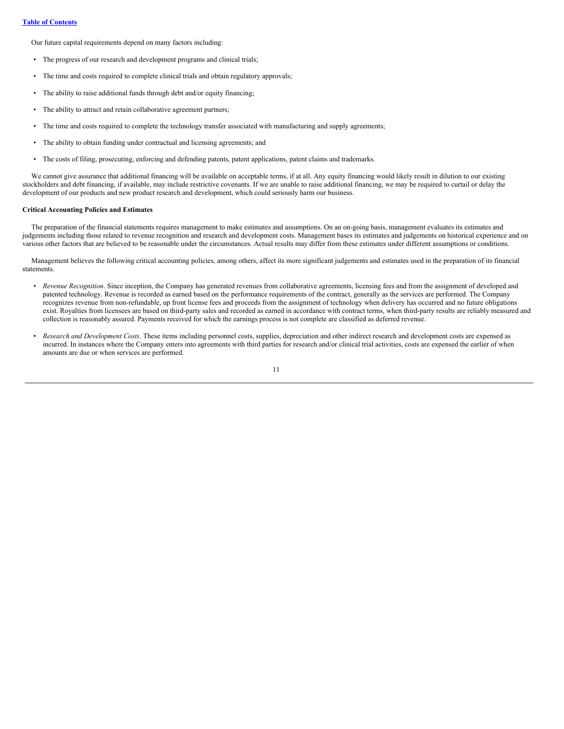Our future capital requirements depend on many factors including:

- The progress of our research and development programs and clinical trials;
- The time and costs required to complete clinical trials and obtain regulatory approvals;
- The ability to raise additional funds through debt and/or equity financing;
- The ability to attract and retain collaborative agreement partners;
- The time and costs required to complete the technology transfer associated with manufacturing and supply agreements;
- The ability to obtain funding under contractual and licensing agreements; and
- The costs of filing, prosecuting, enforcing and defending patents, patent applications, patent claims and trademarks.

We cannot give assurance that additional financing will be available on acceptable terms, if at all. Any equity financing would likely result in dilution to our existing stockholders and debt financing, if available, may include restrictive covenants. If we are unable to raise additional financing, we may be required to curtail or delay the development of our products and new product research and development, which could seriously harm our business.

### **Critical Accounting Policies and Estimates**

The preparation of the financial statements requires management to make estimates and assumptions. On an on-going basis, management evaluates its estimates and judgements including those related to revenue recognition and research and development costs. Management bases its estimates and judgements on historical experience and on various other factors that are believed to be reasonable under the circumstances. Actual results may differ from these estimates under different assumptions or conditions.

Management believes the following critical accounting policies, among others, affect its more significant judgements and estimates used in the preparation of its financial statements.

- *Revenue Recognition*. Since inception, the Company has generated revenues from collaborative agreements, licensing fees and from the assignment of developed and patented technology. Revenue is recorded as earned based on the performance requirements of the contract, generally as the services are performed. The Company recognizes revenue from non-refundable, up front license fees and proceeds from the assignment of technology when delivery has occurred and no future obligations exist. Royalties from licensees are based on third-party sales and recorded as earned in accordance with contract terms, when third-party results are reliably measured and collection is reasonably assured. Payments received for which the earnings process is not complete are classified as deferred revenue.
- *Research and Development Costs*. These items including personnel costs, supplies, depreciation and other indirect research and development costs are expensed as incurred. In instances where the Company enters into agreements with third parties for research and/or clinical trial activities, costs are expensed the earlier of when amounts are due or when services are performed.

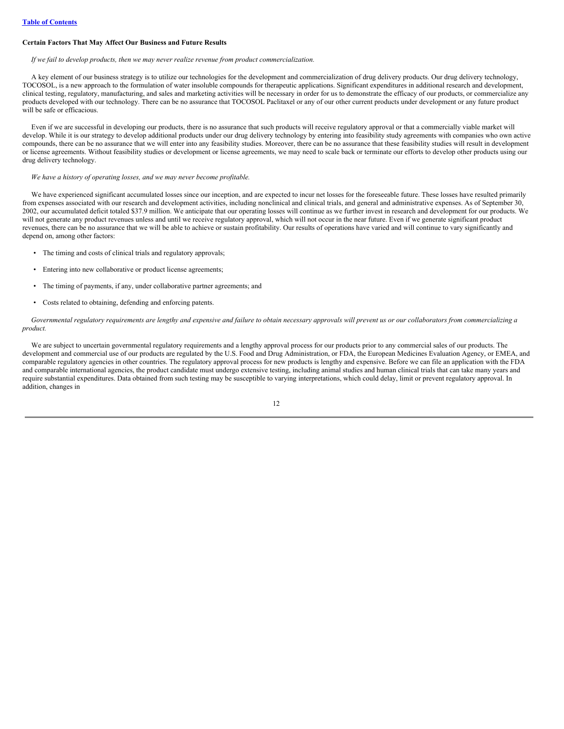#### **Certain Factors That May Affect Our Business and Future Results**

#### *If we fail to develop products, then we may never realize revenue from product commercialization.*

A key element of our business strategy is to utilize our technologies for the development and commercialization of drug delivery products. Our drug delivery technology, TOCOSOL, is a new approach to the formulation of water insoluble compounds for therapeutic applications. Significant expenditures in additional research and development, clinical testing, regulatory, manufacturing, and sales and marketing activities will be necessary in order for us to demonstrate the efficacy of our products, or commercialize any products developed with our technology. There can be no assurance that TOCOSOL Paclitaxel or any of our other current products under development or any future product will be safe or efficacious.

Even if we are successful in developing our products, there is no assurance that such products will receive regulatory approval or that a commercially viable market will develop. While it is our strategy to develop additional products under our drug delivery technology by entering into feasibility study agreements with companies who own active compounds, there can be no assurance that we will enter into any feasibility studies. Moreover, there can be no assurance that these feasibility studies will result in development or license agreements. Without feasibility studies or development or license agreements, we may need to scale back or terminate our efforts to develop other products using our drug delivery technology.

### *We have a history of operating losses, and we may never become profitable.*

We have experienced significant accumulated losses since our inception, and are expected to incur net losses for the foreseeable future. These losses have resulted primarily from expenses associated with our research and development activities, including nonclinical and clinical trials, and general and administrative expenses. As of September 30, 2002, our accumulated deficit totaled \$37.9 million. We anticipate that our operating losses will continue as we further invest in research and development for our products. We will not generate any product revenues unless and until we receive regulatory approval, which will not occur in the near future. Even if we generate significant product revenues, there can be no assurance that we will be able to achieve or sustain profitability. Our results of operations have varied and will continue to vary significantly and depend on, among other factors:

- The timing and costs of clinical trials and regulatory approvals;
- Entering into new collaborative or product license agreements;
- The timing of payments, if any, under collaborative partner agreements; and
- Costs related to obtaining, defending and enforcing patents.

## Governmental regulatory requirements are lengthy and expensive and failure to obtain necessary approvals will prevent us or our collaborators from commercializing a *product.*

We are subject to uncertain governmental regulatory requirements and a lengthy approval process for our products prior to any commercial sales of our products. The development and commercial use of our products are regulated by the U.S. Food and Drug Administration, or FDA, the European Medicines Evaluation Agency, or EMEA, and comparable regulatory agencies in other countries. The regulatory approval process for new products is lengthy and expensive. Before we can file an application with the FDA and comparable international agencies, the product candidate must undergo extensive testing, including animal studies and human clinical trials that can take many years and require substantial expenditures. Data obtained from such testing may be susceptible to varying interpretations, which could delay, limit or prevent regulatory approval. In addition, changes in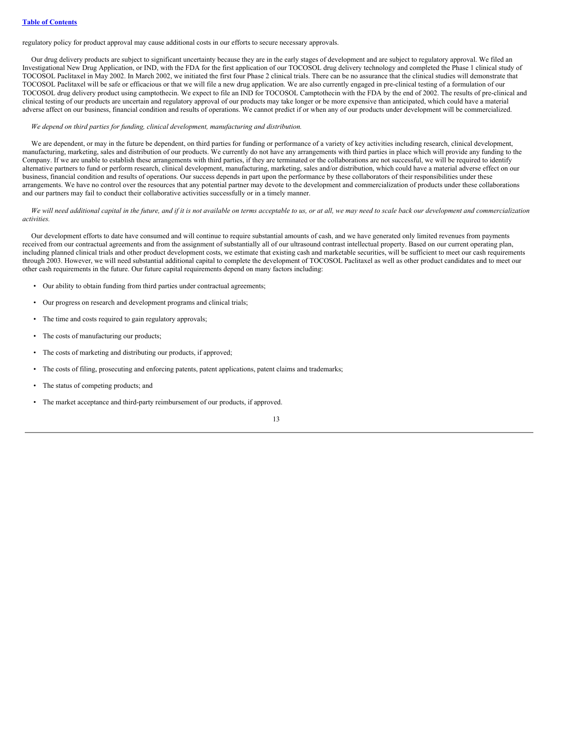regulatory policy for product approval may cause additional costs in our efforts to secure necessary approvals.

Our drug delivery products are subject to significant uncertainty because they are in the early stages of development and are subject to regulatory approval. We filed an Investigational New Drug Application, or IND, with the FDA for the first application of our TOCOSOL drug delivery technology and completed the Phase 1 clinical study of TOCOSOL Paclitaxel in May 2002. In March 2002, we initiated the first four Phase 2 clinical trials. There can be no assurance that the clinical studies will demonstrate that TOCOSOL Paclitaxel will be safe or efficacious or that we will file a new drug application. We are also currently engaged in pre-clinical testing of a formulation of our TOCOSOL drug delivery product using camptothecin. We expect to file an IND for TOCOSOL Camptothecin with the FDA by the end of 2002. The results of pre-clinical and clinical testing of our products are uncertain and regulatory approval of our products may take longer or be more expensive than anticipated, which could have a material adverse affect on our business, financial condition and results of operations. We cannot predict if or when any of our products under development will be commercialized.

### *We depend on third parties for funding, clinical development, manufacturing and distribution.*

We are dependent, or may in the future be dependent, on third parties for funding or performance of a variety of key activities including research, clinical development, manufacturing, marketing, sales and distribution of our products. We currently do not have any arrangements with third parties in place which will provide any funding to the Company. If we are unable to establish these arrangements with third parties, if they are terminated or the collaborations are not successful, we will be required to identify alternative partners to fund or perform research, clinical development, manufacturing, marketing, sales and/or distribution, which could have a material adverse effect on our business, financial condition and results of operations. Our success depends in part upon the performance by these collaborators of their responsibilities under these arrangements. We have no control over the resources that any potential partner may devote to the development and commercialization of products under these collaborations and our partners may fail to conduct their collaborative activities successfully or in a timely manner.

#### We will need additional capital in the future, and if it is not available on terms acceptable to us, or at all, we may need to scale back our development and commercialization *activities.*

Our development efforts to date have consumed and will continue to require substantial amounts of cash, and we have generated only limited revenues from payments received from our contractual agreements and from the assignment of substantially all of our ultrasound contrast intellectual property. Based on our current operating plan, including planned clinical trials and other product development costs, we estimate that existing cash and marketable securities, will be sufficient to meet our cash requirements through 2003. However, we will need substantial additional capital to complete the development of TOCOSOL Paclitaxel as well as other product candidates and to meet our other cash requirements in the future. Our future capital requirements depend on many factors including:

- Our ability to obtain funding from third parties under contractual agreements;
- Our progress on research and development programs and clinical trials;
- The time and costs required to gain regulatory approvals;
- The costs of manufacturing our products;
- The costs of marketing and distributing our products, if approved;
- The costs of filing, prosecuting and enforcing patents, patent applications, patent claims and trademarks;
- The status of competing products; and
- The market acceptance and third-party reimbursement of our products, if approved.

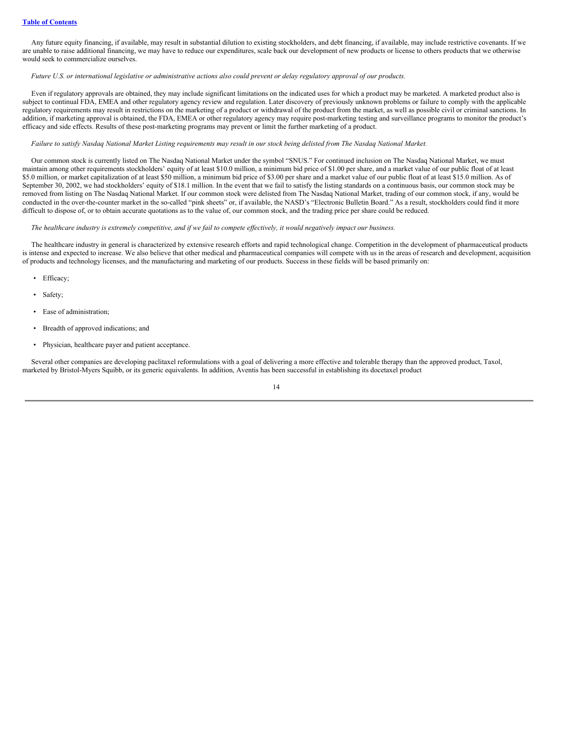#### **Table of [Contents](#page-0-0)**

Any future equity financing, if available, may result in substantial dilution to existing stockholders, and debt financing, if available, may include restrictive covenants. If we are unable to raise additional financing, we may have to reduce our expenditures, scale back our development of new products or license to others products that we otherwise would seek to commercialize ourselves.

# Future U.S. or international legislative or administrative actions also could prevent or delay regulatory approval of our products.

Even if regulatory approvals are obtained, they may include significant limitations on the indicated uses for which a product may be marketed. A marketed product also is subject to continual FDA, EMEA and other regulatory agency review and regulation. Later discovery of previously unknown problems or failure to comply with the applicable regulatory requirements may result in restrictions on the marketing of a product or withdrawal of the product from the market, as well as possible civil or criminal sanctions. In addition, if marketing approval is obtained, the FDA, EMEA or other regulatory agency may require post-marketing testing and surveillance programs to monitor the product's efficacy and side effects. Results of these post-marketing programs may prevent or limit the further marketing of a product.

### Failure to satisfy Nasdaq National Market Listing requirements may result in our stock being delisted from The Nasdaq National Market.

Our common stock is currently listed on The Nasdaq National Market under the symbol "SNUS." For continued inclusion on The Nasdaq National Market, we must maintain among other requirements stockholders' equity of at least \$10.0 million, a minimum bid price of \$1.00 per share, and a market value of our public float of at least \$5.0 million, or market capitalization of at least \$50 million, a minimum bid price of \$3.00 per share and a market value of our public float of at least \$15.0 million. As of September 30, 2002, we had stockholders' equity of \$18.1 million. In the event that we fail to satisfy the listing standards on a continuous basis, our common stock may be removed from listing on The Nasdaq National Market. If our common stock were delisted from The Nasdaq National Market, trading of our common stock, if any, would be conducted in the over-the-counter market in the so-called "pink sheets" or, if available, the NASD's "Electronic Bulletin Board." As a result, stockholders could find it more difficult to dispose of, or to obtain accurate quotations as to the value of, our common stock, and the trading price per share could be reduced.

### The healthcare industry is extremely competitive, and if we fail to compete effectively, it would negatively impact our business.

The healthcare industry in general is characterized by extensive research efforts and rapid technological change. Competition in the development of pharmaceutical products is intense and expected to increase. We also believe that other medical and pharmaceutical companies will compete with us in the areas of research and development, acquisition of products and technology licenses, and the manufacturing and marketing of our products. Success in these fields will be based primarily on:

- Efficacy;
- Safety;
- Ease of administration;
- Breadth of approved indications; and
- Physician, healthcare payer and patient acceptance.

Several other companies are developing paclitaxel reformulations with a goal of delivering a more effective and tolerable therapy than the approved product, Taxol, marketed by Bristol-Myers Squibb, or its generic equivalents. In addition, Aventis has been successful in establishing its docetaxel product

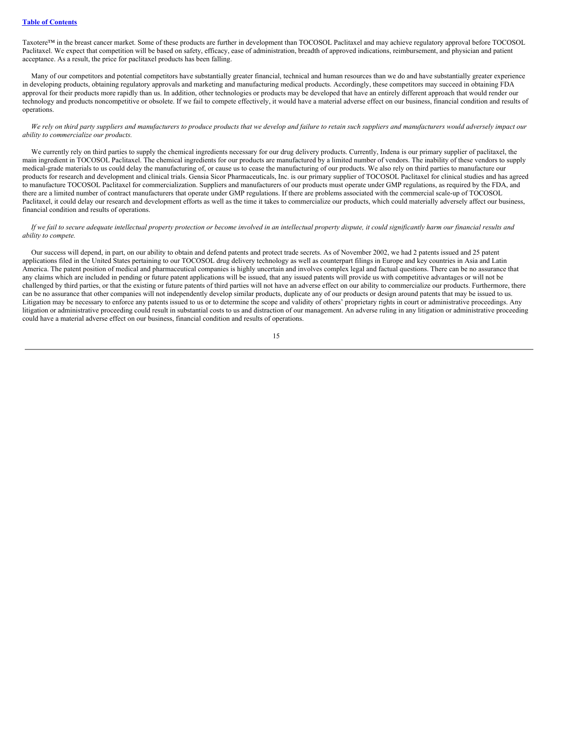Taxotere™ in the breast cancer market. Some of these products are further in development than TOCOSOL Paclitaxel and may achieve regulatory approval before TOCOSOL Paclitaxel. We expect that competition will be based on safety, efficacy, ease of administration, breadth of approved indications, reimbursement, and physician and patient acceptance. As a result, the price for paclitaxel products has been falling.

Many of our competitors and potential competitors have substantially greater financial, technical and human resources than we do and have substantially greater experience in developing products, obtaining regulatory approvals and marketing and manufacturing medical products. Accordingly, these competitors may succeed in obtaining FDA approval for their products more rapidly than us. In addition, other technologies or products may be developed that have an entirely different approach that would render our technology and products noncompetitive or obsolete. If we fail to compete effectively, it would have a material adverse effect on our business, financial condition and results of operations.

We rely on third party suppliers and manufacturers to produce products that we develop and failure to retain such suppliers and manufacturers would adversely impact our *ability to commercialize our products.*

We currently rely on third parties to supply the chemical ingredients necessary for our drug delivery products. Currently, Indena is our primary supplier of paclitaxel, the main ingredient in TOCOSOL Paclitaxel. The chemical ingredients for our products are manufactured by a limited number of vendors. The inability of these vendors to supply medical-grade materials to us could delay the manufacturing of, or cause us to cease the manufacturing of our products. We also rely on third parties to manufacture our products for research and development and clinical trials. Gensia Sicor Pharmaceuticals, Inc. is our primary supplier of TOCOSOL Paclitaxel for clinical studies and has agreed to manufacture TOCOSOL Paclitaxel for commercialization. Suppliers and manufacturers of our products must operate under GMP regulations, as required by the FDA, and there are a limited number of contract manufacturers that operate under GMP regulations. If there are problems associated with the commercial scale-up of TOCOSOL Paclitaxel, it could delay our research and development efforts as well as the time it takes to commercialize our products, which could materially adversely affect our business, financial condition and results of operations.

# If we fail to secure adequate intellectual property protection or become involved in an intellectual property dispute, it could significantly harm our financial results and *ability to compete.*

Our success will depend, in part, on our ability to obtain and defend patents and protect trade secrets. As of November 2002, we had 2 patents issued and 25 patent applications filed in the United States pertaining to our TOCOSOL drug delivery technology as well as counterpart filings in Europe and key countries in Asia and Latin America. The patent position of medical and pharmaceutical companies is highly uncertain and involves complex legal and factual questions. There can be no assurance that any claims which are included in pending or future patent applications will be issued, that any issued patents will provide us with competitive advantages or will not be challenged by third parties, or that the existing or future patents of third parties will not have an adverse effect on our ability to commercialize our products. Furthermore, there can be no assurance that other companies will not independently develop similar products, duplicate any of our products or design around patents that may be issued to us. Litigation may be necessary to enforce any patents issued to us or to determine the scope and validity of others' proprietary rights in court or administrative proceedings. Any litigation or administrative proceeding could result in substantial costs to us and distraction of our management. An adverse ruling in any litigation or administrative proceeding could have a material adverse effect on our business, financial condition and results of operations.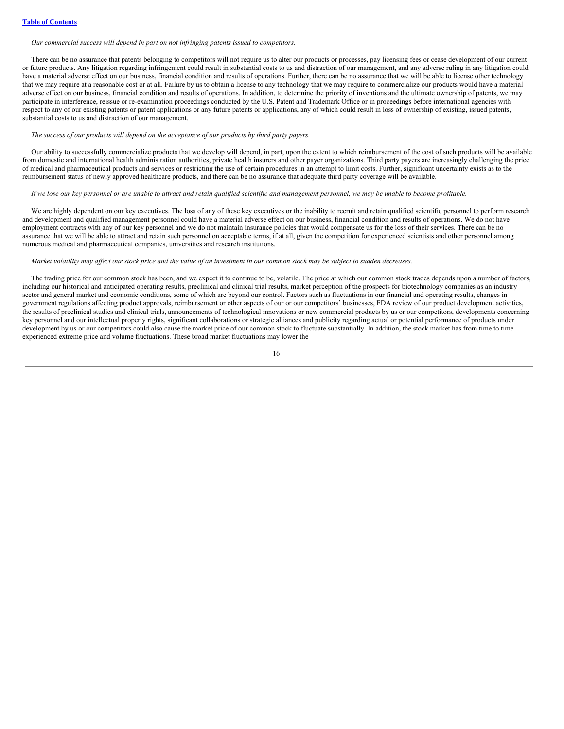#### *Our commercial success will depend in part on not infringing patents issued to competitors.*

There can be no assurance that patents belonging to competitors will not require us to alter our products or processes, pay licensing fees or cease development of our current or future products. Any litigation regarding infringement could result in substantial costs to us and distraction of our management, and any adverse ruling in any litigation could have a material adverse effect on our business, financial condition and results of operations. Further, there can be no assurance that we will be able to license other technology that we may require at a reasonable cost or at all. Failure by us to obtain a license to any technology that we may require to commercialize our products would have a material adverse effect on our business, financial condition and results of operations. In addition, to determine the priority of inventions and the ultimate ownership of patents, we may participate in interference, reissue or re-examination proceedings conducted by the U.S. Patent and Trademark Office or in proceedings before international agencies with respect to any of our existing patents or patent applications or any future patents or applications, any of which could result in loss of ownership of existing, issued patents, substantial costs to us and distraction of our management.

# *The success of our products will depend on the acceptance of our products by third party payers.*

Our ability to successfully commercialize products that we develop will depend, in part, upon the extent to which reimbursement of the cost of such products will be available from domestic and international health administration authorities, private health insurers and other payer organizations. Third party payers are increasingly challenging the price of medical and pharmaceutical products and services or restricting the use of certain procedures in an attempt to limit costs. Further, significant uncertainty exists as to the reimbursement status of newly approved healthcare products, and there can be no assurance that adequate third party coverage will be available.

#### If we lose our key personnel or are unable to attract and retain qualified scientific and management personnel, we may be unable to become profitable.

We are highly dependent on our key executives. The loss of any of these key executives or the inability to recruit and retain qualified scientific personnel to perform research and development and qualified management personnel could have a material adverse effect on our business, financial condition and results of operations. We do not have employment contracts with any of our key personnel and we do not maintain insurance policies that would compensate us for the loss of their services. There can be no assurance that we will be able to attract and retain such personnel on acceptable terms, if at all, given the competition for experienced scientists and other personnel among numerous medical and pharmaceutical companies, universities and research institutions.

#### Market volatility may affect our stock price and the value of an investment in our common stock may be subject to sudden decreases.

The trading price for our common stock has been, and we expect it to continue to be, volatile. The price at which our common stock trades depends upon a number of factors, including our historical and anticipated operating results, preclinical and clinical trial results, market perception of the prospects for biotechnology companies as an industry sector and general market and economic conditions, some of which are beyond our control. Factors such as fluctuations in our financial and operating results, changes in government regulations affecting product approvals, reimbursement or other aspects of our or our competitors' businesses, FDA review of our product development activities, the results of preclinical studies and clinical trials, announcements of technological innovations or new commercial products by us or our competitors, developments concerning key personnel and our intellectual property rights, significant collaborations or strategic alliances and publicity regarding actual or potential performance of products under development by us or our competitors could also cause the market price of our common stock to fluctuate substantially. In addition, the stock market has from time to time experienced extreme price and volume fluctuations. These broad market fluctuations may lower the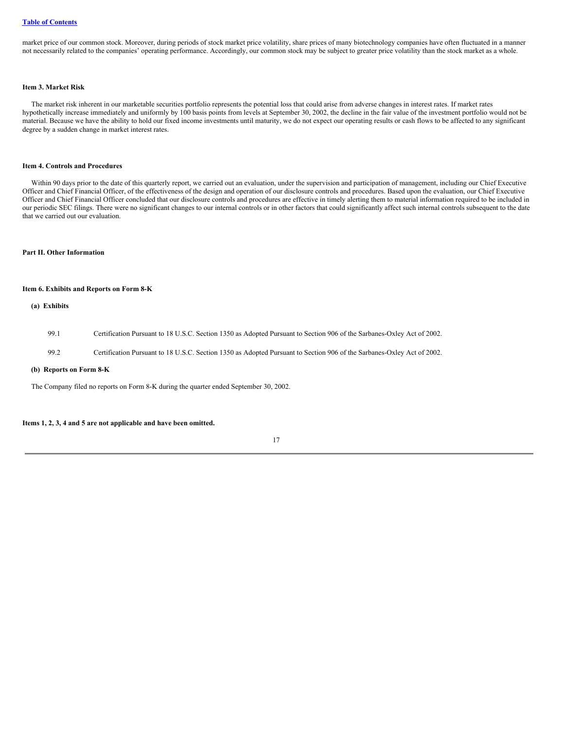market price of our common stock. Moreover, during periods of stock market price volatility, share prices of many biotechnology companies have often fluctuated in a manner not necessarily related to the companies' operating performance. Accordingly, our common stock may be subject to greater price volatility than the stock market as a whole.

# <span id="page-17-0"></span>**Item 3. Market Risk**

The market risk inherent in our marketable securities portfolio represents the potential loss that could arise from adverse changes in interest rates. If market rates hypothetically increase immediately and uniformly by 100 basis points from levels at September 30, 2002, the decline in the fair value of the investment portfolio would not be material. Because we have the ability to hold our fixed income investments until maturity, we do not expect our operating results or cash flows to be affected to any significant degree by a sudden change in market interest rates.

# <span id="page-17-1"></span>**Item 4. Controls and Procedures**

Within 90 days prior to the date of this quarterly report, we carried out an evaluation, under the supervision and participation of management, including our Chief Executive Officer and Chief Financial Officer, of the effectiveness of the design and operation of our disclosure controls and procedures. Based upon the evaluation, our Chief Executive Officer and Chief Financial Officer concluded that our disclosure controls and procedures are effective in timely alerting them to material information required to be included in our periodic SEC filings. There were no significant changes to our internal controls or in other factors that could significantly affect such internal controls subsequent to the date that we carried out our evaluation.

### <span id="page-17-3"></span><span id="page-17-2"></span>**Part II. Other Information**

# **Item 6. Exhibits and Reports on Form 8-K**

# **(a) Exhibits**

99.1 Certification Pursuant to 18 U.S.C. Section 1350 as Adopted Pursuant to Section 906 of the Sarbanes-Oxley Act of 2002.

99.2 Certification Pursuant to 18 U.S.C. Section 1350 as Adopted Pursuant to Section 906 of the Sarbanes-Oxley Act of 2002.

# **(b) Reports on Form 8-K**

<span id="page-17-4"></span>The Company filed no reports on Form 8-K during the quarter ended September 30, 2002.

# **Items 1, 2, 3, 4 and 5 are not applicable and have been omitted.**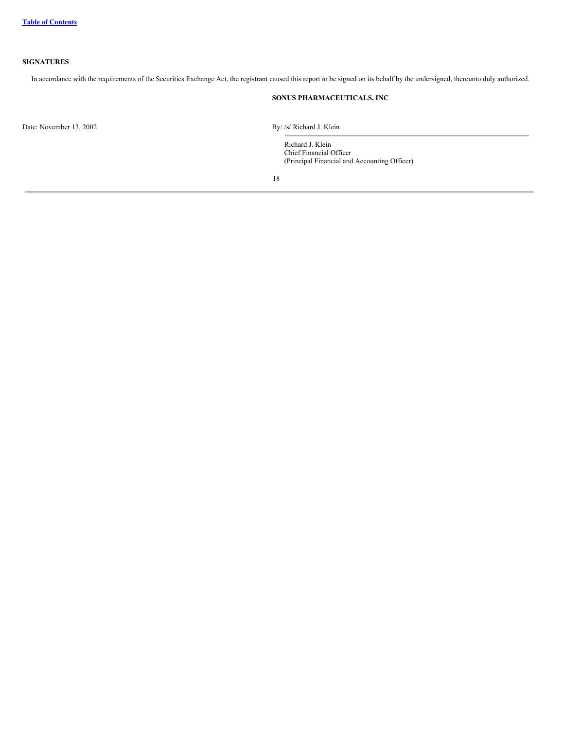# <span id="page-18-0"></span>**SIGNATURES**

In accordance with the requirements of the Securities Exchange Act, the registrant caused this report to be signed on its behalf by the undersigned, thereunto duly authorized.

# **SONUS PHARMACEUTICALS, INC**

Date: November 13, 2002 By: /s/ Richard J. Klein

Richard J. Klein Chief Financial Officer (Principal Financial and Accounting Officer)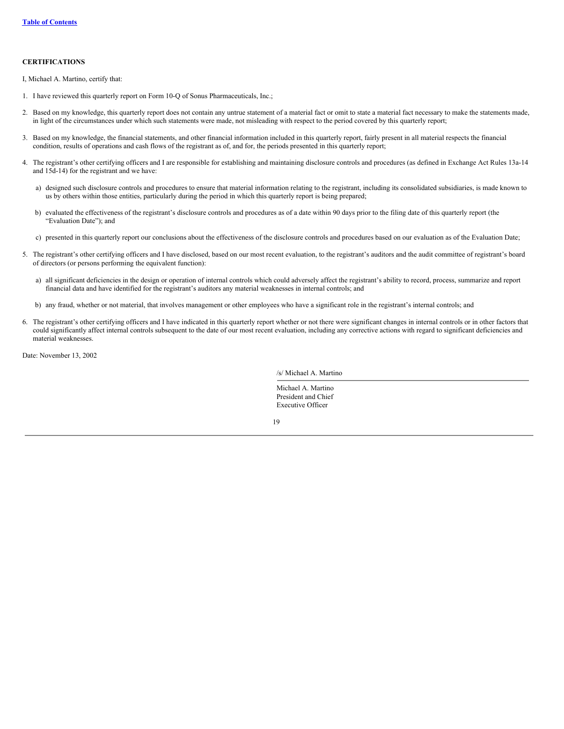# <span id="page-19-0"></span>**CERTIFICATIONS**

I, Michael A. Martino, certify that:

- 1. I have reviewed this quarterly report on Form 10-Q of Sonus Pharmaceuticals, Inc.;
- 2. Based on my knowledge, this quarterly report does not contain any untrue statement of a material fact or omit to state a material fact necessary to make the statements made, in light of the circumstances under which such statements were made, not misleading with respect to the period covered by this quarterly report;
- 3. Based on my knowledge, the financial statements, and other financial information included in this quarterly report, fairly present in all material respects the financial condition, results of operations and cash flows of the registrant as of, and for, the periods presented in this quarterly report;
- 4. The registrant's other certifying officers and I are responsible for establishing and maintaining disclosure controls and procedures (as defined in Exchange Act Rules 13a-14 and 15d-14) for the registrant and we have:
	- a) designed such disclosure controls and procedures to ensure that material information relating to the registrant, including its consolidated subsidiaries, is made known to us by others within those entities, particularly during the period in which this quarterly report is being prepared;
	- b) evaluated the effectiveness of the registrant's disclosure controls and procedures as of a date within 90 days prior to the filing date of this quarterly report (the "Evaluation Date"); and
	- c) presented in this quarterly report our conclusions about the effectiveness of the disclosure controls and procedures based on our evaluation as of the Evaluation Date;
- 5. The registrant's other certifying officers and I have disclosed, based on our most recent evaluation, to the registrant's auditors and the audit committee of registrant's board of directors (or persons performing the equivalent function):
	- a) all significant deficiencies in the design or operation of internal controls which could adversely affect the registrant's ability to record, process, summarize and report financial data and have identified for the registrant's auditors any material weaknesses in internal controls; and
	- b) any fraud, whether or not material, that involves management or other employees who have a significant role in the registrant's internal controls; and
- 6. The registrant's other certifying officers and I have indicated in this quarterly report whether or not there were significant changes in internal controls or in other factors that could significantly affect internal controls subsequent to the date of our most recent evaluation, including any corrective actions with regard to significant deficiencies and material weaknesses.

Date: November 13, 2002

/s/ Michael A. Martino

Michael A. Martino President and Chief Executive Officer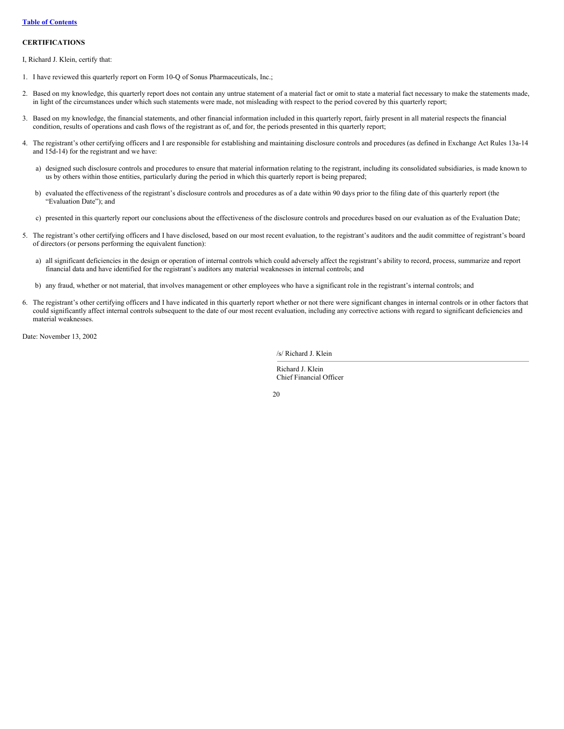# **CERTIFICATIONS**

I, Richard J. Klein, certify that:

- 1. I have reviewed this quarterly report on Form 10-Q of Sonus Pharmaceuticals, Inc.;
- 2. Based on my knowledge, this quarterly report does not contain any untrue statement of a material fact or omit to state a material fact necessary to make the statements made, in light of the circumstances under which such statements were made, not misleading with respect to the period covered by this quarterly report;
- 3. Based on my knowledge, the financial statements, and other financial information included in this quarterly report, fairly present in all material respects the financial condition, results of operations and cash flows of the registrant as of, and for, the periods presented in this quarterly report;
- 4. The registrant's other certifying officers and I are responsible for establishing and maintaining disclosure controls and procedures (as defined in Exchange Act Rules 13a-14 and 15d-14) for the registrant and we have:
	- a) designed such disclosure controls and procedures to ensure that material information relating to the registrant, including its consolidated subsidiaries, is made known to us by others within those entities, particularly during the period in which this quarterly report is being prepared;
	- b) evaluated the effectiveness of the registrant's disclosure controls and procedures as of a date within 90 days prior to the filing date of this quarterly report (the "Evaluation Date"); and
	- c) presented in this quarterly report our conclusions about the effectiveness of the disclosure controls and procedures based on our evaluation as of the Evaluation Date;
- 5. The registrant's other certifying officers and I have disclosed, based on our most recent evaluation, to the registrant's auditors and the audit committee of registrant's board of directors (or persons performing the equivalent function):
	- a) all significant deficiencies in the design or operation of internal controls which could adversely affect the registrant's ability to record, process, summarize and report financial data and have identified for the registrant's auditors any material weaknesses in internal controls; and
	- b) any fraud, whether or not material, that involves management or other employees who have a significant role in the registrant's internal controls; and
- 6. The registrant's other certifying officers and I have indicated in this quarterly report whether or not there were significant changes in internal controls or in other factors that could significantly affect internal controls subsequent to the date of our most recent evaluation, including any corrective actions with regard to significant deficiencies and material weaknesses.

Date: November 13, 2002

/s/ Richard J. Klein

Richard J. Klein Chief Financial Officer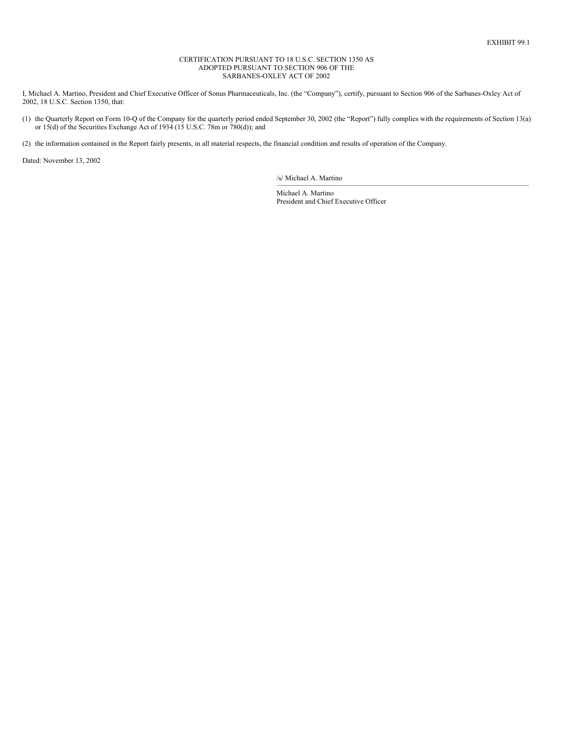# CERTIFICATION PURSUANT TO 18 U.S.C. SECTION 1350 AS ADOPTED PURSUANT TO SECTION 906 OF THE SARBANES-OXLEY ACT OF 2002

<span id="page-21-0"></span>I, Michael A. Martino, President and Chief Executive Officer of Sonus Pharmaceuticals, Inc. (the "Company"), certify, pursuant to Section 906 of the Sarbanes-Oxley Act of 2002, 18 U.S.C. Section 1350, that:

(1) the Quarterly Report on Form 10-Q of the Company for the quarterly period ended September 30, 2002 (the "Report") fully complies with the requirements of Section 13(a) or 15(d) of the Securities Exchange Act of 1934 (15 U.S.C. 78m or 780(d)); and

(2) the information contained in the Report fairly presents, in all material respects, the financial condition and results of operation of the Company.

Dated: November 13, 2002

/s/ Michael A. Martino

Michael A. Martino President and Chief Executive Officer